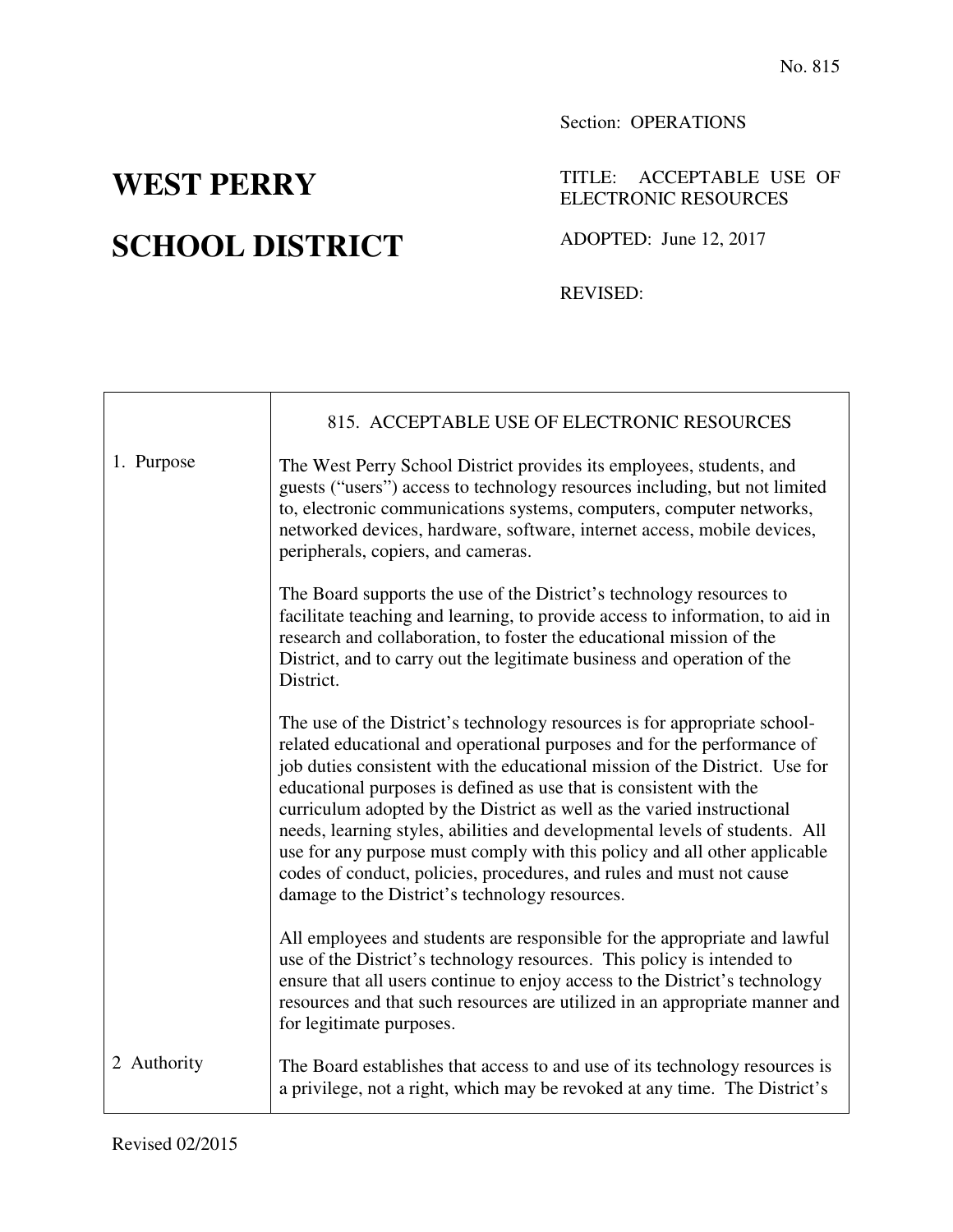## **SCHOOL DISTRICT** ADOPTED: June 12, 2017

## Section: OPERATIONS

## **WEST PERRY** TITLE: ACCEPTABLE USE OF ELECTRONIC RESOURCES

REVISED:

|             | 815. ACCEPTABLE USE OF ELECTRONIC RESOURCES                                                                                                                                                                                                                                                                                                                                                                                                                                                                                                                                                                                                                               |
|-------------|---------------------------------------------------------------------------------------------------------------------------------------------------------------------------------------------------------------------------------------------------------------------------------------------------------------------------------------------------------------------------------------------------------------------------------------------------------------------------------------------------------------------------------------------------------------------------------------------------------------------------------------------------------------------------|
| 1. Purpose  | The West Perry School District provides its employees, students, and<br>guests ("users") access to technology resources including, but not limited<br>to, electronic communications systems, computers, computer networks,<br>networked devices, hardware, software, internet access, mobile devices,<br>peripherals, copiers, and cameras.                                                                                                                                                                                                                                                                                                                               |
|             | The Board supports the use of the District's technology resources to<br>facilitate teaching and learning, to provide access to information, to aid in<br>research and collaboration, to foster the educational mission of the<br>District, and to carry out the legitimate business and operation of the<br>District.                                                                                                                                                                                                                                                                                                                                                     |
|             | The use of the District's technology resources is for appropriate school-<br>related educational and operational purposes and for the performance of<br>job duties consistent with the educational mission of the District. Use for<br>educational purposes is defined as use that is consistent with the<br>curriculum adopted by the District as well as the varied instructional<br>needs, learning styles, abilities and developmental levels of students. All<br>use for any purpose must comply with this policy and all other applicable<br>codes of conduct, policies, procedures, and rules and must not cause<br>damage to the District's technology resources. |
|             | All employees and students are responsible for the appropriate and lawful<br>use of the District's technology resources. This policy is intended to<br>ensure that all users continue to enjoy access to the District's technology<br>resources and that such resources are utilized in an appropriate manner and<br>for legitimate purposes.                                                                                                                                                                                                                                                                                                                             |
| 2 Authority | The Board establishes that access to and use of its technology resources is<br>a privilege, not a right, which may be revoked at any time. The District's                                                                                                                                                                                                                                                                                                                                                                                                                                                                                                                 |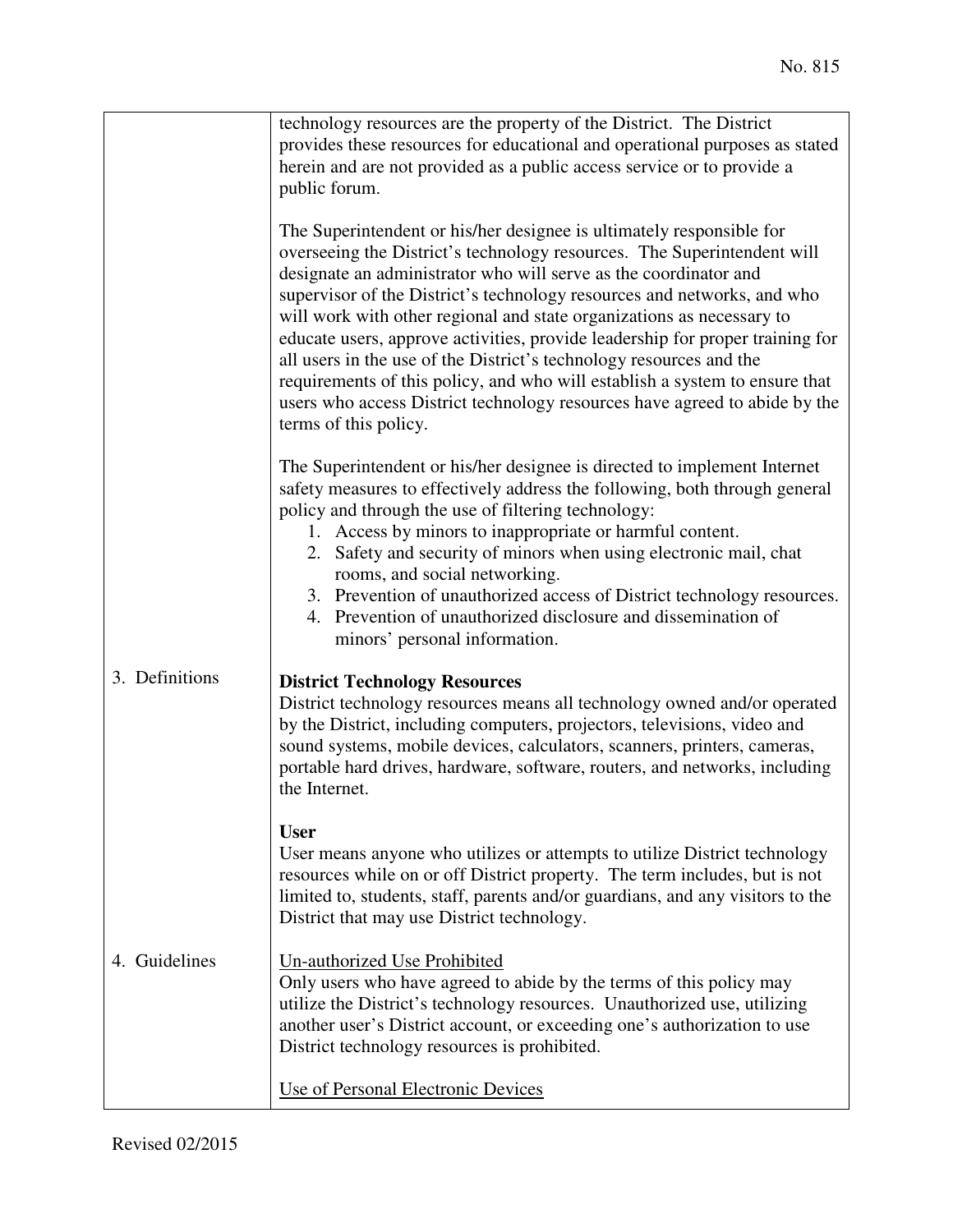|                | technology resources are the property of the District. The District<br>provides these resources for educational and operational purposes as stated<br>herein and are not provided as a public access service or to provide a<br>public forum.                                                                                                                                                                                                                                                                                                                                                                                                                                                                         |
|----------------|-----------------------------------------------------------------------------------------------------------------------------------------------------------------------------------------------------------------------------------------------------------------------------------------------------------------------------------------------------------------------------------------------------------------------------------------------------------------------------------------------------------------------------------------------------------------------------------------------------------------------------------------------------------------------------------------------------------------------|
|                | The Superintendent or his/her designee is ultimately responsible for<br>overseeing the District's technology resources. The Superintendent will<br>designate an administrator who will serve as the coordinator and<br>supervisor of the District's technology resources and networks, and who<br>will work with other regional and state organizations as necessary to<br>educate users, approve activities, provide leadership for proper training for<br>all users in the use of the District's technology resources and the<br>requirements of this policy, and who will establish a system to ensure that<br>users who access District technology resources have agreed to abide by the<br>terms of this policy. |
|                | The Superintendent or his/her designee is directed to implement Internet<br>safety measures to effectively address the following, both through general<br>policy and through the use of filtering technology:<br>1. Access by minors to inappropriate or harmful content.<br>2. Safety and security of minors when using electronic mail, chat<br>rooms, and social networking.<br>3. Prevention of unauthorized access of District technology resources.<br>4. Prevention of unauthorized disclosure and dissemination of<br>minors' personal information.                                                                                                                                                           |
| 3. Definitions | <b>District Technology Resources</b><br>District technology resources means all technology owned and/or operated<br>by the District, including computers, projectors, televisions, video and<br>sound systems, mobile devices, calculators, scanners, printers, cameras,<br>portable hard drives, hardware, software, routers, and networks, including<br>the Internet.                                                                                                                                                                                                                                                                                                                                               |
|                | <b>User</b><br>User means anyone who utilizes or attempts to utilize District technology<br>resources while on or off District property. The term includes, but is not<br>limited to, students, staff, parents and/or guardians, and any visitors to the<br>District that may use District technology.                                                                                                                                                                                                                                                                                                                                                                                                                |
| 4. Guidelines  | Un-authorized Use Prohibited<br>Only users who have agreed to abide by the terms of this policy may<br>utilize the District's technology resources. Unauthorized use, utilizing<br>another user's District account, or exceeding one's authorization to use<br>District technology resources is prohibited.                                                                                                                                                                                                                                                                                                                                                                                                           |
|                | Use of Personal Electronic Devices                                                                                                                                                                                                                                                                                                                                                                                                                                                                                                                                                                                                                                                                                    |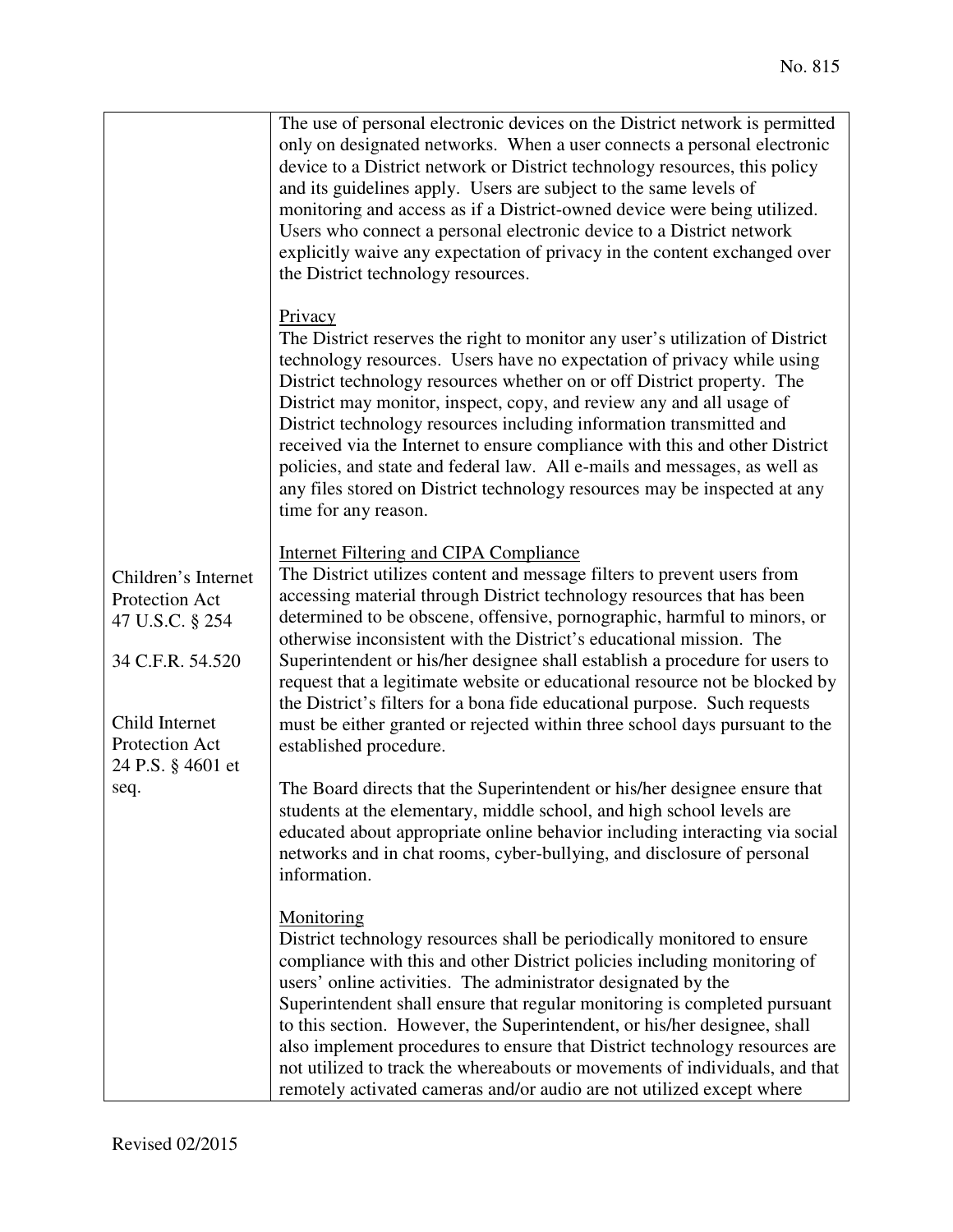| Children's Internet<br>Protection Act<br>47 U.S.C. § 254<br>34 C.F.R. 54.520<br>Child Internet<br>Protection Act<br>24 P.S. § 4601 et<br>seq. | The use of personal electronic devices on the District network is permitted<br>only on designated networks. When a user connects a personal electronic<br>device to a District network or District technology resources, this policy<br>and its guidelines apply. Users are subject to the same levels of<br>monitoring and access as if a District-owned device were being utilized.<br>Users who connect a personal electronic device to a District network<br>explicitly waive any expectation of privacy in the content exchanged over<br>the District technology resources.                                                                                                                          |
|-----------------------------------------------------------------------------------------------------------------------------------------------|-----------------------------------------------------------------------------------------------------------------------------------------------------------------------------------------------------------------------------------------------------------------------------------------------------------------------------------------------------------------------------------------------------------------------------------------------------------------------------------------------------------------------------------------------------------------------------------------------------------------------------------------------------------------------------------------------------------|
|                                                                                                                                               | Privacy<br>The District reserves the right to monitor any user's utilization of District<br>technology resources. Users have no expectation of privacy while using<br>District technology resources whether on or off District property. The<br>District may monitor, inspect, copy, and review any and all usage of<br>District technology resources including information transmitted and<br>received via the Internet to ensure compliance with this and other District<br>policies, and state and federal law. All e-mails and messages, as well as<br>any files stored on District technology resources may be inspected at any<br>time for any reason.                                              |
|                                                                                                                                               | <b>Internet Filtering and CIPA Compliance</b><br>The District utilizes content and message filters to prevent users from<br>accessing material through District technology resources that has been<br>determined to be obscene, offensive, pornographic, harmful to minors, or<br>otherwise inconsistent with the District's educational mission. The<br>Superintendent or his/her designee shall establish a procedure for users to<br>request that a legitimate website or educational resource not be blocked by<br>the District's filters for a bona fide educational purpose. Such requests<br>must be either granted or rejected within three school days pursuant to the<br>established procedure. |
|                                                                                                                                               | The Board directs that the Superintendent or his/her designee ensure that<br>students at the elementary, middle school, and high school levels are<br>educated about appropriate online behavior including interacting via social<br>networks and in chat rooms, cyber-bullying, and disclosure of personal<br>information.                                                                                                                                                                                                                                                                                                                                                                               |
|                                                                                                                                               | Monitoring<br>District technology resources shall be periodically monitored to ensure<br>compliance with this and other District policies including monitoring of<br>users' online activities. The administrator designated by the<br>Superintendent shall ensure that regular monitoring is completed pursuant<br>to this section. However, the Superintendent, or his/her designee, shall<br>also implement procedures to ensure that District technology resources are<br>not utilized to track the whereabouts or movements of individuals, and that<br>remotely activated cameras and/or audio are not utilized except where                                                                         |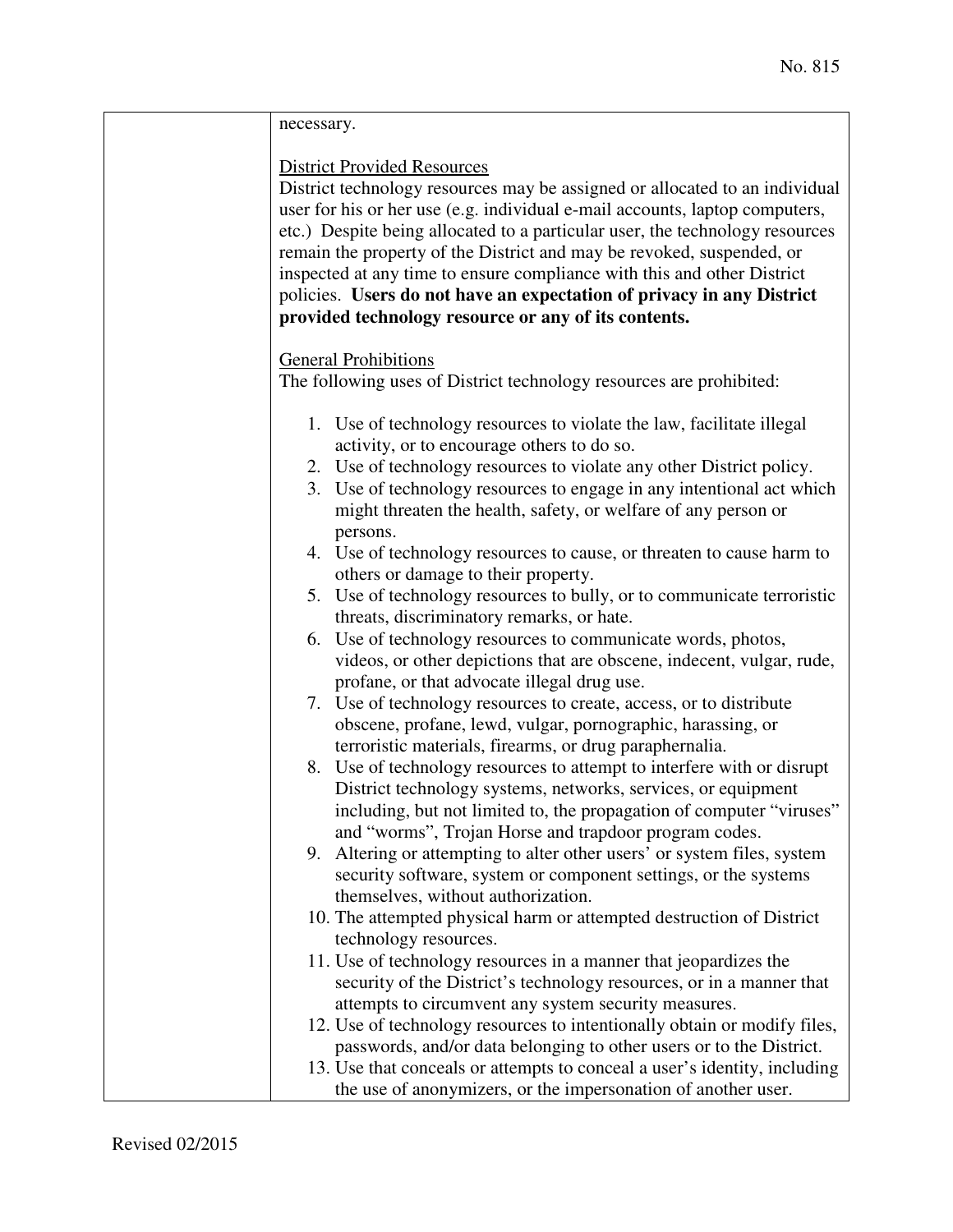| necessary.                                                                                                                                                                                                                                                                                                                                                                                                                                                                                                                                                            |
|-----------------------------------------------------------------------------------------------------------------------------------------------------------------------------------------------------------------------------------------------------------------------------------------------------------------------------------------------------------------------------------------------------------------------------------------------------------------------------------------------------------------------------------------------------------------------|
| <b>District Provided Resources</b><br>District technology resources may be assigned or allocated to an individual<br>user for his or her use (e.g. individual e-mail accounts, laptop computers,<br>etc.) Despite being allocated to a particular user, the technology resources<br>remain the property of the District and may be revoked, suspended, or<br>inspected at any time to ensure compliance with this and other District<br>policies. Users do not have an expectation of privacy in any District<br>provided technology resource or any of its contents. |
| <b>General Prohibitions</b>                                                                                                                                                                                                                                                                                                                                                                                                                                                                                                                                           |
| The following uses of District technology resources are prohibited:                                                                                                                                                                                                                                                                                                                                                                                                                                                                                                   |
| 1. Use of technology resources to violate the law, facilitate illegal<br>activity, or to encourage others to do so.                                                                                                                                                                                                                                                                                                                                                                                                                                                   |
| 2. Use of technology resources to violate any other District policy.                                                                                                                                                                                                                                                                                                                                                                                                                                                                                                  |
| 3. Use of technology resources to engage in any intentional act which<br>might threaten the health, safety, or welfare of any person or<br>persons.                                                                                                                                                                                                                                                                                                                                                                                                                   |
| 4. Use of technology resources to cause, or threaten to cause harm to<br>others or damage to their property.                                                                                                                                                                                                                                                                                                                                                                                                                                                          |
| 5. Use of technology resources to bully, or to communicate terroristic<br>threats, discriminatory remarks, or hate.                                                                                                                                                                                                                                                                                                                                                                                                                                                   |
| 6. Use of technology resources to communicate words, photos,<br>videos, or other depictions that are obscene, indecent, vulgar, rude,<br>profane, or that advocate illegal drug use.                                                                                                                                                                                                                                                                                                                                                                                  |
| 7. Use of technology resources to create, access, or to distribute<br>obscene, profane, lewd, vulgar, pornographic, harassing, or<br>terroristic materials, firearms, or drug paraphernalia.                                                                                                                                                                                                                                                                                                                                                                          |
| 8. Use of technology resources to attempt to interfere with or disrupt<br>District technology systems, networks, services, or equipment<br>including, but not limited to, the propagation of computer "viruses"<br>and "worms", Trojan Horse and trapdoor program codes.                                                                                                                                                                                                                                                                                              |
| 9. Altering or attempting to alter other users' or system files, system<br>security software, system or component settings, or the systems<br>themselves, without authorization.                                                                                                                                                                                                                                                                                                                                                                                      |
| 10. The attempted physical harm or attempted destruction of District<br>technology resources.                                                                                                                                                                                                                                                                                                                                                                                                                                                                         |
| 11. Use of technology resources in a manner that jeopardizes the<br>security of the District's technology resources, or in a manner that<br>attempts to circumvent any system security measures.                                                                                                                                                                                                                                                                                                                                                                      |
| 12. Use of technology resources to intentionally obtain or modify files,<br>passwords, and/or data belonging to other users or to the District.                                                                                                                                                                                                                                                                                                                                                                                                                       |
| 13. Use that conceals or attempts to conceal a user's identity, including<br>the use of anonymizers, or the impersonation of another user.                                                                                                                                                                                                                                                                                                                                                                                                                            |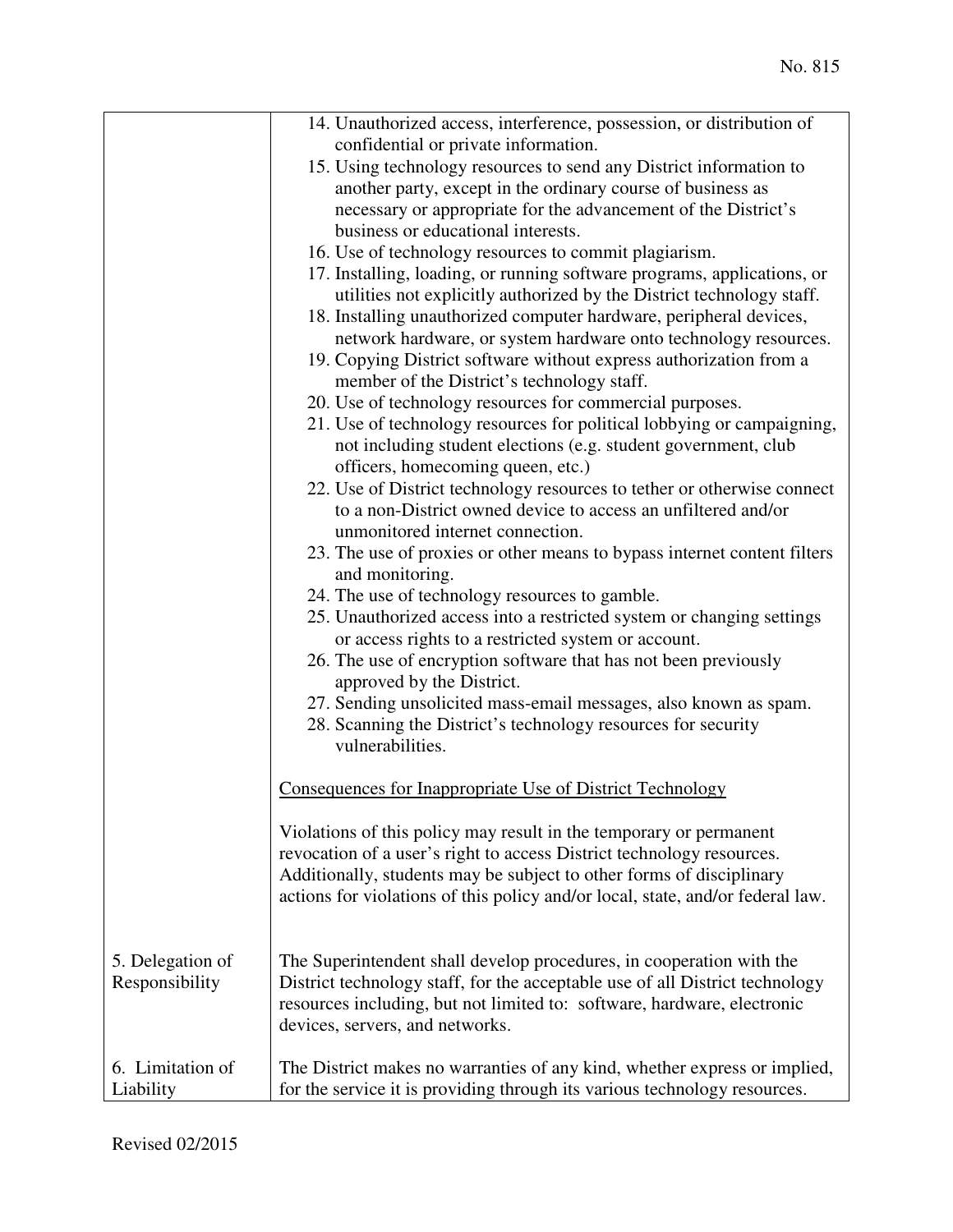|                  | 14. Unauthorized access, interference, possession, or distribution of          |
|------------------|--------------------------------------------------------------------------------|
|                  | confidential or private information.                                           |
|                  | 15. Using technology resources to send any District information to             |
|                  | another party, except in the ordinary course of business as                    |
|                  | necessary or appropriate for the advancement of the District's                 |
|                  | business or educational interests.                                             |
|                  | 16. Use of technology resources to commit plagiarism.                          |
|                  | 17. Installing, loading, or running software programs, applications, or        |
|                  | utilities not explicitly authorized by the District technology staff.          |
|                  | 18. Installing unauthorized computer hardware, peripheral devices,             |
|                  | network hardware, or system hardware onto technology resources.                |
|                  | 19. Copying District software without express authorization from a             |
|                  | member of the District's technology staff.                                     |
|                  | 20. Use of technology resources for commercial purposes.                       |
|                  | 21. Use of technology resources for political lobbying or campaigning,         |
|                  | not including student elections (e.g. student government, club                 |
|                  | officers, homecoming queen, etc.)                                              |
|                  | 22. Use of District technology resources to tether or otherwise connect        |
|                  | to a non-District owned device to access an unfiltered and/or                  |
|                  | unmonitored internet connection.                                               |
|                  | 23. The use of proxies or other means to bypass internet content filters       |
|                  | and monitoring.                                                                |
|                  | 24. The use of technology resources to gamble.                                 |
|                  | 25. Unauthorized access into a restricted system or changing settings          |
|                  | or access rights to a restricted system or account.                            |
|                  | 26. The use of encryption software that has not been previously                |
|                  | approved by the District.                                                      |
|                  | 27. Sending unsolicited mass-email messages, also known as spam.               |
|                  | 28. Scanning the District's technology resources for security                  |
|                  | vulnerabilities.                                                               |
|                  |                                                                                |
|                  | Consequences for Inappropriate Use of District Technology                      |
|                  |                                                                                |
|                  | Violations of this policy may result in the temporary or permanent             |
|                  | revocation of a user's right to access District technology resources.          |
|                  | Additionally, students may be subject to other forms of disciplinary           |
|                  | actions for violations of this policy and/or local, state, and/or federal law. |
|                  |                                                                                |
|                  |                                                                                |
| 5. Delegation of | The Superintendent shall develop procedures, in cooperation with the           |
| Responsibility   | District technology staff, for the acceptable use of all District technology   |
|                  | resources including, but not limited to: software, hardware, electronic        |
|                  | devices, servers, and networks.                                                |
|                  |                                                                                |
| 6. Limitation of | The District makes no warranties of any kind, whether express or implied,      |
| Liability        | for the service it is providing through its various technology resources.      |